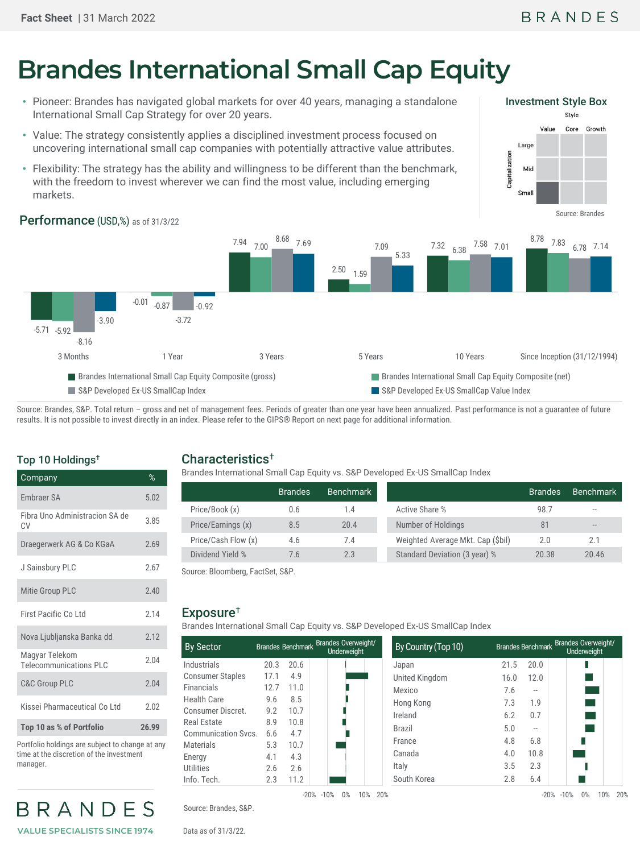# **Brandes International Small Cap Equity**

- Pioneer: Brandes has navigated global markets for over 40 years, managing a standalone International Small Cap Strategy for over 20 years.
- Value: The strategy consistently applies a disciplined investment process focused on uncovering international small cap companies with potentially attractive value attributes.
- Flexibility: The strategy has the ability and willingness to be different than the benchmark, with the freedom to invest wherever we can find the most value, including emerging markets.



### Performance (USD,%) as of 31/3/22



Source: Brandes, S&P. Total return - gross and net of management fees. Periods of greater than one year have been annualized. Past performance is not a guarantee of future results. It is not possible to invest directly in an index. Please refer to the GIPS® Report on next page for additional information.

### Top 10 Holdings†

| Company                                         | $\%$  |
|-------------------------------------------------|-------|
| <b>Embraer SA</b>                               | 5.02  |
| Fibra Uno Administracion SA de<br>CV.           | 3.85  |
| Draegerwerk AG & Co KGaA                        | 2.69  |
| J Sainsbury PLC                                 | 2.67  |
| Mitie Group PLC                                 | 2.40  |
| <b>First Pacific Co Ltd</b>                     | 2.14  |
| Nova Ljubljanska Banka dd                       | 2.12  |
| Magyar Telekom<br><b>Telecommunications PLC</b> | 2.04  |
| <b>C&amp;C Group PLC</b>                        | 2.04  |
| Kissei Pharmaceutical Co Ltd                    | 2.02  |
| Top 10 as % of Portfolio                        | 26.99 |

Portfolio holdings are subject to change at any time at the discretion of the investment manager.



## Characteristics†

Brandes International Small Cap Equity vs. S&P Developed Ex-US SmallCap Index

|                     | <b>Brandes</b> | <b>Benchmark</b> |                                   | <b>Brandes</b> | <b>Benchmark</b>                                  |
|---------------------|----------------|------------------|-----------------------------------|----------------|---------------------------------------------------|
| Price/Book (x)      | 0.6            | 1.4              | Active Share %                    | 98.7           | $\hspace{0.04cm}-\hspace{0.04cm}-\hspace{0.04cm}$ |
| Price/Earnings (x)  | 8.5            | 20.4             | Number of Holdings                | 81             | $-$                                               |
| Price/Cash Flow (x) | 4.6            | 7.4              | Weighted Average Mkt. Cap (\$bil) | 2.0            | 2.1                                               |
| Dividend Yield %    | 7.6            | 2.3              | Standard Deviation (3 year) %     | 20.38          | 20.46                                             |

Source: Bloomberg, FactSet, S&P.

#### Exposure†

Brandes International Small Cap Equity vs. S&P Developed Ex-US SmallCap Index

|                                   |      | <b>Brandes Overweight/</b><br><b>Underweight</b> | By Country (Top 10)      |                                                 |                          | Brandes Overweight/<br>Underweight                  |
|-----------------------------------|------|--------------------------------------------------|--------------------------|-------------------------------------------------|--------------------------|-----------------------------------------------------|
| 20.3                              | 20.6 |                                                  | Japan                    | 21.5                                            | 20.0                     |                                                     |
| 17.1                              | 4.9  |                                                  | United Kingdom           | 16.0                                            | 12.0                     |                                                     |
| 12.7                              | 11.0 |                                                  | Mexico                   | 7.6                                             | $-\,$                    |                                                     |
| 9.6                               | 8.5  |                                                  |                          |                                                 |                          |                                                     |
| 9.2                               | 10.7 |                                                  |                          |                                                 |                          |                                                     |
| 8.9                               | 10.8 |                                                  |                          |                                                 |                          |                                                     |
| <b>Communication Svcs.</b><br>6.6 | 4.7  |                                                  |                          |                                                 |                          |                                                     |
| 5.3                               | 10.7 |                                                  |                          |                                                 |                          |                                                     |
| 4.1                               | 4.3  |                                                  | Canada                   | 4.0                                             | 10.8                     |                                                     |
| 2.6                               | 2.6  |                                                  | Italy                    | 3.5                                             | 2.3                      |                                                     |
| 2.3                               | 11.2 |                                                  | South Korea              | 2.8                                             | 6.4                      |                                                     |
|                                   |      |                                                  | <b>Brandes Benchmark</b> | Hong Kong<br>Ireland<br><b>Brazil</b><br>France | 7.3<br>6.2<br>5.0<br>4.8 | <b>Brandes Benchmark</b><br>1.9<br>0.7<br>--<br>6.8 |

Source: Brandes, S&P.

Data as of 31/3/22.